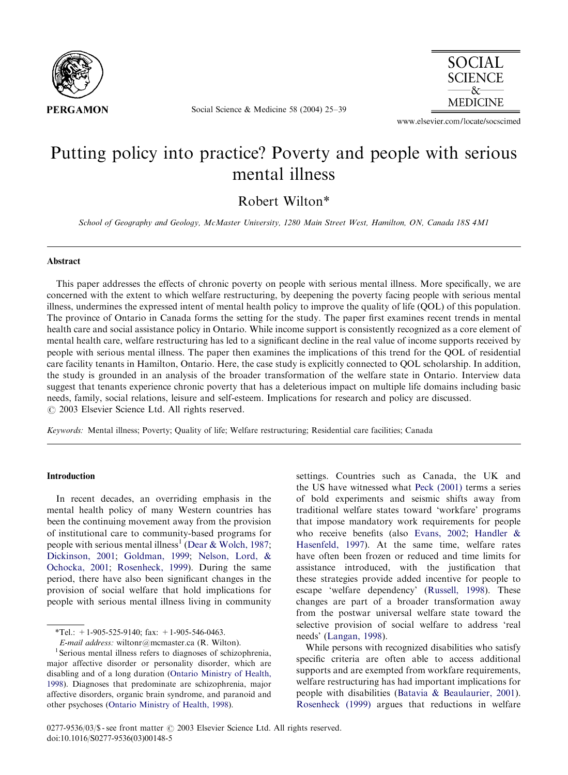

Social Science & Medicine 58 (2004) 25–39



www.elsevier.com/locate/socscimed

# Putting policy into practice? Poverty and people with serious mental illness

Robert Wilton\*

School of Geography and Geology, McMaster University, 1280 Main Street West, Hamilton, ON, Canada 18S 4M1

### Abstract

This paper addresses the effects of chronic poverty on people with serious mental illness. More specifically, we are concerned with the extent to which welfare restructuring, by deepening the poverty facing people with serious mental illness, undermines the expressed intent of mental health policy to improve the quality of life (QOL) of this population. The province of Ontario in Canada forms the setting for the study. The paper first examines recent trends in mental health care and social assistance policy in Ontario. While income support is consistently recognized as a core element of mental health care, welfare restructuring has led to a significant decline in the real value of income supports received by people with serious mental illness. The paper then examines the implications of this trend for the QOL of residential care facility tenants in Hamilton, Ontario. Here, the case study is explicitly connected to QOL scholarship. In addition, the study is grounded in an analysis of the broader transformation of the welfare state in Ontario. Interview data suggest that tenants experience chronic poverty that has a deleterious impact on multiple life domains including basic needs, family, social relations, leisure and self-esteem. Implications for researchand policy are discussed.  $\odot$  2003 Elsevier Science Ltd. All rights reserved.

Keywords: Mental illness; Poverty; Quality of life; Welfare restructuring; Residential care facilities; Canada

# Introduction

In recent decades, an overriding emphasis in the mental health policy of many Western countries has been the continuing movement away from the provision of institutional care to community-based programs for people with serious mental illness<sup>1</sup> ([Dear & Wolch, 1987;](#page-12-0) [Dickinson, 2001](#page-12-0); [Goldman, 1999;](#page-12-0) [Nelson, Lord,](#page-13-0) & [Ochocka, 2001;](#page-13-0) [Rosenheck, 1999\)](#page-13-0). During the same period, there have also been significant changes in the provision of social welfare that hold implications for people with serious mental illness living in community

\*Tel.:  $+1-905-525-9140$ ; fax:  $+1-905-546-0463$ .

E-mail address: wiltonr@mcmaster.ca (R. Wilton).

<sup>1</sup> Serious mental illness refers to diagnoses of schizophrenia, major affective disorder or personality disorder, which are disabling and of a long duration [\(Ontario Ministry of Health,](#page-13-0) [1998\)](#page-13-0). Diagnoses that predominate are schizophrenia, major affective disorders, organic brain syndrome, and paranoid and other psychoses [\(Ontario Ministry of Health, 1998\)](#page-13-0).

settings. Countries such as Canada, the UK and the US have witnessed what [Peck \(2001\)](#page-13-0) terms a series of bold experiments and seismic shifts away from traditional welfare states toward 'workfare' programs that impose mandatory work requirements for people who receive benefits (also [Evans, 2002;](#page-12-0) [Handler](#page-12-0) & [Hasenfeld, 1997](#page-12-0)). At the same time, welfare rates have often been frozen or reduced and time limits for assistance introduced, with the justification that these strategies provide added incentive for people to escape 'welfare dependency' ([Russell, 1998\)](#page-13-0). These changes are part of a broader transformation away from the postwar universal welfare state toward the selective provision of social welfare to address 'real needs' ([Langan, 1998](#page-13-0)).

While persons with recognized disabilities who satisfy specific criteria are often able to access additional supports and are exempted from workfare requirements, welfare restructuring has had important implications for people with disabilities ([Batavia](#page-12-0) [& Beaulaurier, 2001\)](#page-12-0). [Rosenheck \(1999\)](#page-13-0) argues that reductions in welfare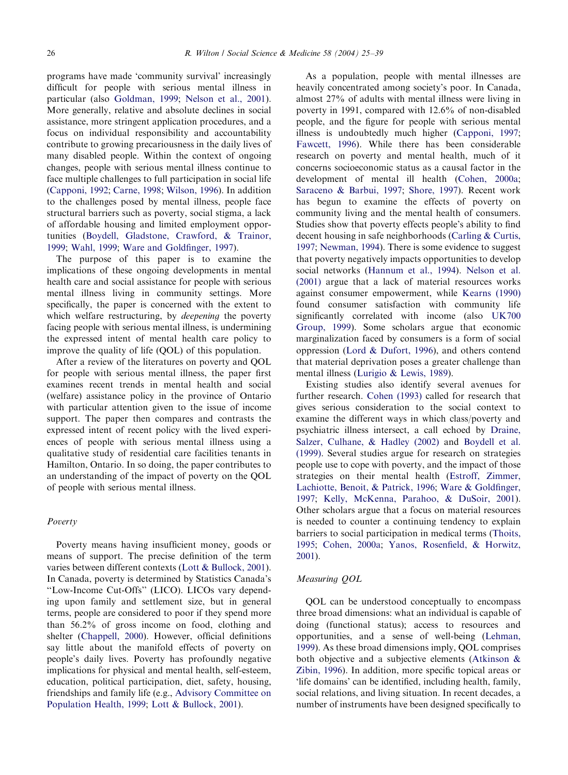programs have made 'community survival' increasingly difficult for people with serious mental illness in particular (also [Goldman, 1999;](#page-12-0) [Nelson et al., 2001\)](#page-13-0). More generally, relative and absolute declines in social assistance, more stringent application procedures, and a focus on individual responsibility and accountability contribute to growing precariousness in the daily lives of many disabled people. Within the context of ongoing changes, people with serious mental illness continue to face multiple challenges to full participation in social life ([Capponi, 1992;](#page-12-0) [Carne, 1998;](#page-12-0) [Wilson, 1996](#page-14-0)). In addition to the challenges posed by mental illness, people face structural barriers such as poverty, social stigma, a lack of affordable housing and limited employment opportunities [\(Boydell, Gladstone, Crawford, & Trainor,](#page-12-0) [1999;](#page-12-0) [Wahl, 1999](#page-14-0); [Ware and Goldfinger, 1997\)](#page-14-0).

The purpose of this paper is to examine the implications of these ongoing developments in mental health care and social assistance for people with serious mental illness living in community settings. More specifically, the paper is concerned with the extent to which welfare restructuring, by *deepening* the poverty facing people with serious mental illness, is undermining the expressed intent of mental health care policy to improve the quality of life (QOL) of this population.

After a review of the literatures on poverty and QOL for people with serious mental illness, the paper first examines recent trends in mental health and social (welfare) assistance policy in the province of Ontario with particular attention given to the issue of income support. The paper then compares and contrasts the expressed intent of recent policy with the lived experiences of people with serious mental illness using a qualitative study of residential care facilities tenants in Hamilton, Ontario. In so doing, the paper contributes to an understanding of the impact of poverty on the QOL of people with serious mental illness.

# Poverty

Poverty means having insufficient money, goods or means of support. The precise definition of the term varies between different contexts [\(Lott](#page-13-0) [& Bullock, 2001\)](#page-13-0). In Canada, poverty is determined by Statistics Canada's ''Low-Income Cut-Offs'' (LICO). LICOs vary depending upon family and settlement size, but in general terms, people are considered to poor if they spend more than 56.2% of gross income on food, clothing and shelter ([Chappell, 2000](#page-12-0)). However, official definitions say little about the manifold effects of poverty on people's daily lives. Poverty has profoundly negative implications for physical and mental health, self-esteem, education, political participation, diet, safety, housing, friendships and family life (e.g., [Advisory Committee on](#page-12-0) [Population Health, 1999;](#page-12-0) [Lott](#page-13-0) & [Bullock, 2001\)](#page-13-0).

As a population, people with mental illnesses are heavily concentrated among society's poor. In Canada, almost  $27\%$  of adults with mental illness were living in poverty in 1991, compared with  $12.6\%$  of non-disabled people, and the figure for people with serious mental illness is undoubtedly much higher ([Capponi, 1997;](#page-12-0) [Fawcett, 1996](#page-12-0)). While there has been considerable research on poverty and mental health, much of it concerns socioeconomic status as a causal factor in the development of mental ill health [\(Cohen, 2000a;](#page-12-0) [Saraceno](#page-13-0) [& Barbui, 1997](#page-13-0); [Shore, 1997\)](#page-13-0). Recent work has begun to examine the effects of poverty on community living and the mental health of consumers. Studies show that poverty effects people's ability to find decent housing in safe neighborhoods ([Carling & Curtis,](#page-12-0) [1997;](#page-12-0) [Newman, 1994\)](#page-13-0). There is some evidence to suggest that poverty negatively impacts opportunities to develop social networks ([Hannum et al., 1994\)](#page-12-0). [Nelson et al.](#page-13-0) [\(2001\)](#page-13-0) argue that a lack of material resources works against consumer empowerment, while [Kearns \(1990\)](#page-13-0) found consumer satisfaction with community life significantly correlated with income (also  $UK700$ [Group, 1999](#page-14-0)). Some scholars argue that economic marginalization faced by consumers is a form of social oppression ([Lord](#page-13-0) [& Dufort, 1996\)](#page-13-0), and others contend that material deprivation poses a greater challenge than mental illness [\(Lurigio & Lewis, 1989](#page-13-0)).

Existing studies also identify several avenues for further research. Cohen  $(1993)$  called for research that gives serious consideration to the social context to examine the different ways in which class/poverty and psychiatric illness intersect, a call echoed by [Draine,](#page-12-0) [Salzer, Culhane,](#page-12-0) [& Hadley \(2002\)](#page-12-0) and [Boydell et al.](#page-12-0) [\(1999\).](#page-12-0) Several studies argue for research on strategies people use to cope with poverty, and the impact of those strategies on their mental health ([Estroff, Zimmer,](#page-12-0) [Lachiotte, Benoit,](#page-12-0) [& Patrick, 1996;](#page-12-0) [Ware & Goldfinger,](#page-14-0) [1997;](#page-14-0) [Kelly, McKenna, Parahoo, & DuSoir, 2001\)](#page-13-0). Other scholars argue that a focus on material resources is needed to counter a continuing tendency to explain barriers to social participation in medical terms ([Thoits,](#page-13-0) [1995;](#page-13-0) [Cohen, 2000a;](#page-12-0) [Yanos, Rosenfield, & Horwitz,](#page-14-0) [2001\)](#page-14-0).

# Measuring QOL

QOL can be understood conceptually to encompass three broad dimensions: what an individual is capable of doing (functional status); access to resources and opportunities, and a sense of well-being [\(Lehman,](#page-13-0) [1999\)](#page-13-0). As these broad dimensions imply, QOL comprises both objective and a subjective elements ([Atkinson](#page-12-0)  $\&$ [Zibin, 1996](#page-12-0)). In addition, more specific topical areas or 'life domains' can be identified, including health, family, social relations, and living situation. In recent decades, a number of instruments have been designed specifically to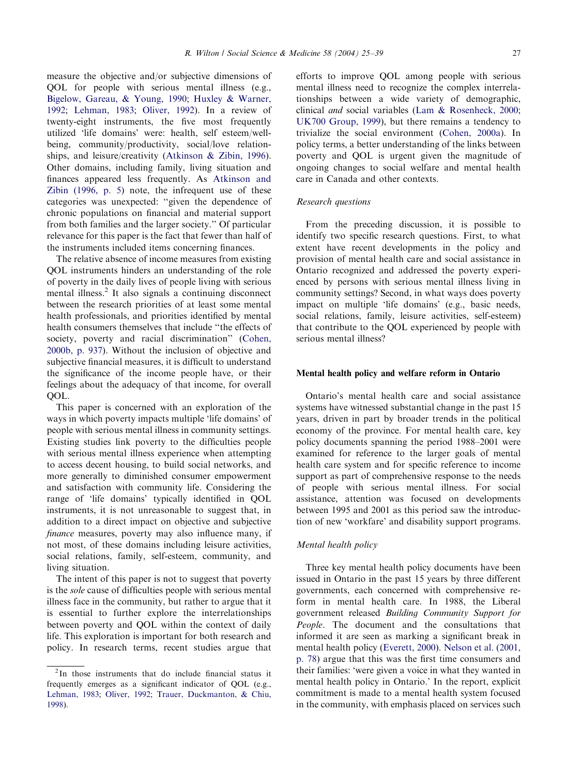measure the objective and/or subjective dimensions of QOL for people with serious mental illness (e.g., [Bigelow, Gareau,](#page-12-0) [& Young, 1990](#page-12-0); [Huxley](#page-12-0) [& Warner,](#page-12-0) [1992;](#page-12-0) [Lehman, 1983;](#page-13-0) [Oliver, 1992](#page-13-0)). In a review of twenty-eight instruments, the five most frequently utilized 'life domains' were: health, self esteem/wellbeing, community/productivity, social/love relationships, and leisure/creativity [\(Atkinson & Zibin, 1996\)](#page-12-0). Other domains, including family, living situation and finances appeared less frequently. As [Atkinson and](#page-12-0) [Zibin \(1996, p. 5](#page-12-0)) note, the infrequent use of these categories was unexpected: ''given the dependence of chronic populations on financial and material support from both families and the larger society." Of particular relevance for this paper is the fact that fewer than half of the instruments included items concerning finances.

The relative absence of income measures from existing QOL instruments hinders an understanding of the role of poverty in the daily lives of people living with serious mental illness.<sup>2</sup> It also signals a continuing disconnect between the research priorities of at least some mental health professionals, and priorities identified by mental health consumers themselves that include ''the effects of society, poverty and racial discrimination'' [\(Cohen,](#page-12-0) [2000b, p. 937](#page-12-0)). Without the inclusion of objective and subjective financial measures, it is difficult to understand the significance of the income people have, or their feelings about the adequacy of that income, for overall OOL.

This paper is concerned with an exploration of the ways in which poverty impacts multiple 'life domains' of people with serious mental illness in community settings. Existing studies link poverty to the difficulties people with serious mental illness experience when attempting to access decent housing, to build social networks, and more generally to diminished consumer empowerment and satisfaction with community life. Considering the range of 'life domains' typically identified in QOL instruments, it is not unreasonable to suggest that, in addition to a direct impact on objective and subjective finance measures, poverty may also influence many, if not most, of these domains including leisure activities, social relations, family, self-esteem, community, and living situation.

The intent of this paper is not to suggest that poverty is the *sole* cause of difficulties people with serious mental illness face in the community, but rather to argue that it is essential to further explore the interrelationships between poverty and QOL within the context of daily life. This exploration is important for both research and policy. In research terms, recent studies argue that efforts to improve OOL among people with serious mental illness need to recognize the complex interrelationships between a wide variety of demographic, clinical and social variables [\(Lam & Rosenheck, 2000;](#page-13-0) [UK700 Group, 1999\)](#page-14-0), but there remains a tendency to trivialize the social environment [\(Cohen, 2000a\)](#page-12-0). In policy terms, a better understanding of the links between poverty and QOL is urgent given the magnitude of ongoing changes to social welfare and mental health care in Canada and other contexts.

#### Research questions

From the preceding discussion, it is possible to identify two specific research questions. First, to what extent have recent developments in the policy and provision of mental health care and social assistance in Ontario recognized and addressed the poverty experienced by persons with serious mental illness living in community settings? Second, in what ways does poverty impact on multiple 'life domains' (e.g., basic needs, social relations, family, leisure activities, self-esteem) that contribute to the QOL experienced by people with serious mental illness?

# Mental health policy and welfare reform in Ontario

Ontario's mental health care and social assistance systems have witnessed substantial change in the past 15 years, driven in part by broader trends in the political economy of the province. For mental health care, key policy documents spanning the period 1988–2001 were examined for reference to the larger goals of mental health care system and for specific reference to income support as part of comprehensive response to the needs of people with serious mental illness. For social assistance, attention was focused on developments between 1995 and 2001 as this period saw the introduction of new 'workfare' and disability support programs.

# Mental health policy

Three key mental health policy documents have been issued in Ontario in the past 15 years by three different governments, each concerned with comprehensive reform in mental health care. In 1988, the Liberal government released Building Community Support for People. The document and the consultations that informed it are seen as marking a significant break in mental health policy [\(Everett, 2000\)](#page-12-0). [Nelson et al. \(2001,](#page-13-0) [p. 78\)](#page-13-0) argue that this was the first time consumers and their families: 'were given a voice in what they wanted in mental health policy in Ontario.' In the report, explicit commitment is made to a mental health system focused in the community, with emphasis placed on services such

<sup>&</sup>lt;sup>2</sup>In those instruments that do include financial status it frequently emerges as a significant indicator of QOL (e.g., [Lehman, 1983;](#page-13-0) [Oliver, 1992](#page-13-0); [Trauer, Duckmanton,](#page-13-0) [& Chiu,](#page-13-0) [1998\)](#page-13-0).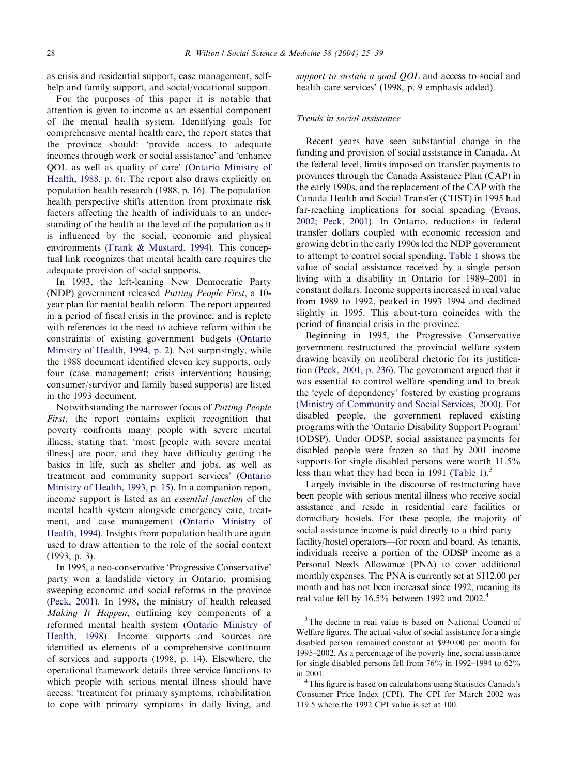as crisis and residential support, case management, selfhelp and family support, and social/vocational support.

For the purposes of this paper it is notable that attention is given to income as an essential component of the mental health system. Identifying goals for comprehensive mental health care, the report states that the province should: 'provide access to adequate incomes through work or social assistance' and 'enhance QOL as well as quality of care' ([Ontario Ministry of](#page-13-0) [Health, 1988, p. 6\)](#page-13-0). The report also draws explicitly on population health research (1988, p. 16). The population health perspective shifts attention from proximate risk factors affecting the health of individuals to an understanding of the health at the level of the population as it is influenced by the social, economic and physical environments ([Frank & Mustard, 1994](#page-12-0)). This conceptual link recognizes that mental health care requires the adequate provision of social supports.

In 1993, the left-leaning New Democratic Party (NDP) government released Putting People First, a 10 year plan for mental health reform. The report appeared in a period of fiscal crisis in the province, and is replete with references to the need to achieve reform within the constraints of existing government budgets ([Ontario](#page-13-0) [Ministry of Health, 1994, p. 2](#page-13-0)). Not surprisingly, while the 1988 document identified eleven key supports, only four (case management; crisis intervention; housing; consumer/survivor and family based supports) are listed in the 1993 document.

Notwithstanding the narrower focus of Putting People First, the report contains explicit recognition that poverty confronts many people with severe mental illness, stating that: 'most [people with severe mental illness] are poor, and they have difficulty getting the basics in life, such as shelter and jobs, as well as treatment and community support services' ([Ontario](#page-13-0) [Ministry of Health, 1993, p. 15](#page-13-0)). In a companion report, income support is listed as an essential function of the mental health system alongside emergency care, treatment, and case management [\(Ontario Ministry of](#page-13-0) [Health, 1994\)](#page-13-0). Insights from population health are again used to draw attention to the role of the social context (1993, p. 3).

In 1995, a neo-conservative 'Progressive Conservative' party won a landslide victory in Ontario, promising sweeping economic and social reforms in the province ([Peck, 2001\)](#page-13-0). In 1998, the ministry of health released Making It Happen, outlining key components of a reformed mental health system ([Ontario Ministry of](#page-13-0) [Health, 1998](#page-13-0)). Income supports and sources are identified as elements of a comprehensive continuum of services and supports (1998, p. 14). Elsewhere, the operational framework details three service functions to which people with serious mental illness should have access: 'treatment for primary symptoms, rehabilitation to cope with primary symptoms in daily living, and

support to sustain a good OOL and access to social and health care services' (1998, p. 9 emphasis added).

# Trends in social assistance

Recent years have seen substantial change in the funding and provision of social assistance in Canada. At the federal level, limits imposed on transfer payments to provinces through the Canada Assistance Plan (CAP) in the early 1990s, and the replacement of the CAP with the Canada Health and Social Transfer (CHST) in 1995 had far-reaching implications for social spending [\(Evans,](#page-12-0) [2002;](#page-12-0) [Peck, 2001](#page-13-0)). In Ontario, reductions in federal transfer dollars coupled witheconomic recession and growing debt in the early 1990s led the NDP government to attempt to control social spending. [Table 1](#page-4-0) shows the value of social assistance received by a single person living with a disability in Ontario for 1989–2001 in constant dollars. Income supports increased in real value from 1989 to 1992, peaked in 1993–1994 and declined slightly in 1995. This about-turn coincides with the period of financial crisis in the province.

Beginning in 1995, the Progressive Conservative government restructured the provincial welfare system drawing heavily on neoliberal rhetoric for its justification ([Peck, 2001, p. 236\)](#page-13-0). The government argued that it was essential to control welfare spending and to break the 'cycle of dependency' fostered by existing programs ([Ministry of Community and Social Services, 2000\)](#page-13-0). For disabled people, the government replaced existing programs with the 'Ontario Disability Support Program' (ODSP). Under ODSP, social assistance payments for disabled people were frozen so that by 2001 income supports for single disabled persons were worth  $11.5\%$ less than what they had been in 1991 [\(Table 1](#page-4-0)). $3$ 

Largely invisible in the discourse of restructuring have been people with serious mental illness who receive social assistance and reside in residential care facilities or domiciliary hostels. For these people, the majority of social assistance income is paid directly to a third party facility/hostel operators—for room and board. As tenants, individuals receive a portion of the ODSP income as a Personal Needs Allowance (PNA) to cover additional monthly expenses. The PNA is currently set at \$112.00 per month and has not been increased since 1992, meaning its real value fell by 16.5% between 1992 and 2002.<sup>4</sup>

<sup>&</sup>lt;sup>3</sup>The decline in real value is based on National Council of Welfare figures. The actual value of social assistance for a single disabled person remained constant at \$930.00 per month for 1995–2002. As a percentage of the poverty line, social assistance for single disabled persons fell from 76% in 1992–1994 to 62% in 2001. 4This figure is based on calculations using Statistics Canada's

Consumer Price Index (CPI). The CPI for March 2002 was 119.5 where the 1992 CPI value is set at 100.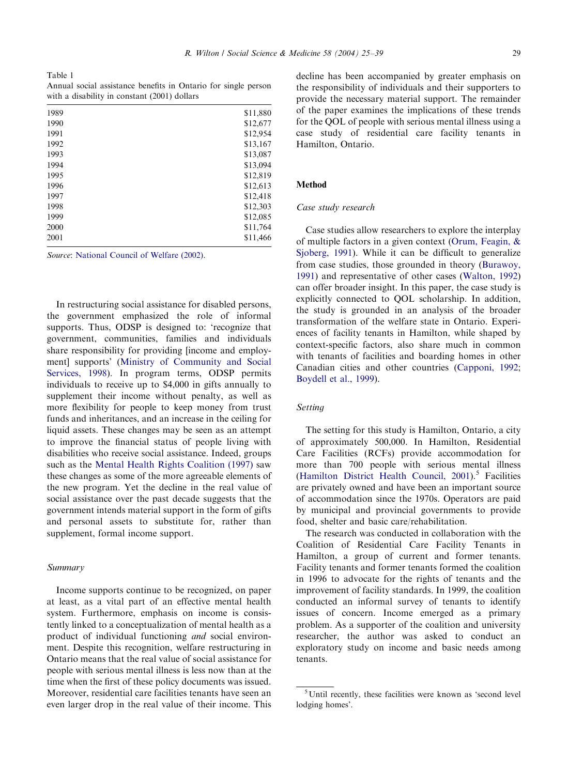<span id="page-4-0"></span>Table 1

Annual social assistance benefits in Ontario for single person with a disability in constant (2001) dollars

| 1989 | \$11,880 |
|------|----------|
| 1990 | \$12,677 |
| 1991 | \$12,954 |
| 1992 | \$13,167 |
| 1993 | \$13,087 |
| 1994 | \$13,094 |
| 1995 | \$12,819 |
| 1996 | \$12,613 |
| 1997 | \$12,418 |
| 1998 | \$12,303 |
| 1999 | \$12,085 |
| 2000 | \$11,764 |
| 2001 | \$11,466 |
|      |          |

Source: [National Council of Welfare \(2002\).](#page-13-0)

In restructuring social assistance for disabled persons, the government emphasized the role of informal supports. Thus, ODSP is designed to: 'recognize that government, communities, families and individuals share responsibility for providing [income and employment] supports' [\(Ministry of Community and Social](#page-13-0) [Services, 1998](#page-13-0)). In program terms, ODSP permits individuals to receive up to \$4,000 in gifts annually to supplement their income without penalty, as well as more flexibility for people to keep money from trust funds and inheritances, and an increase in the ceiling for liquid assets. These changes may be seen as an attempt to improve the financial status of people living with disabilities who receive social assistance. Indeed, groups such as the Mental Health Rights Coalition (1997) saw these changes as some of the more agreeable elements of the new program. Yet the decline in the real value of social assistance over the past decade suggests that the government intends material support in the form of gifts and personal assets to substitute for, rather than supplement, formal income support.

#### Summary

Income supports continue to be recognized, on paper at least, as a vital part of an effective mental health system. Furthermore, emphasis on income is consistently linked to a conceptualization of mental health as a product of individual functioning and social environment. Despite this recognition, welfare restructuring in Ontario means that the real value of social assistance for people with serious mental illness is less now than at the time when the first of these policy documents was issued. Moreover, residential care facilities tenants have seen an even larger drop in the real value of their income. This

decline has been accompanied by greater emphasis on the responsibility of individuals and their supporters to provide the necessary material support. The remainder of the paper examines the implications of these trends for the QOL of people with serious mental illness using a case study of residential care facility tenants in Hamilton, Ontario.

# Method

#### Case study research

Case studies allow researchers to explore the interplay of multiple factors in a given context ([Orum, Feagin,](#page-13-0) & [Sjoberg, 1991\)](#page-13-0). While it can be difficult to generalize from case studies, those grounded in theory ([Burawoy,](#page-12-0) [1991\)](#page-12-0) and representative of other cases ([Walton, 1992](#page-14-0)) can offer broader insight. In this paper, the case study is explicitly connected to QOL scholarship. In addition, the study is grounded in an analysis of the broader transformation of the welfare state in Ontario. Experiences of facility tenants in Hamilton, while shaped by context-specific factors, also share much in common with tenants of facilities and boarding homes in other Canadian cities and other countries [\(Capponi, 1992;](#page-12-0) [Boydell et al., 1999\)](#page-12-0).

# Setting

The setting for this study is Hamilton, Ontario, a city of approximately 500,000. In Hamilton, Residential Care Facilities (RCFs) provide accommodation for more than 700 people with serious mental illness (Hamilton District Health Council,  $2001$ ).<sup>5</sup> Facilities are privately owned and have been an important source of accommodation since the 1970s. Operators are paid by municipal and provincial governments to provide food, shelter and basic care/rehabilitation.

The research was conducted in collaboration with the Coalition of Residential Care Facility Tenants in Hamilton, a group of current and former tenants. Facility tenants and former tenants formed the coalition in 1996 to advocate for the rights of tenants and the improvement of facility standards. In 1999, the coalition conducted an informal survey of tenants to identify issues of concern. Income emerged as a primary problem. As a supporter of the coalition and university researcher, the author was asked to conduct an exploratory study on income and basic needs among tenants.

 $5$ Until recently, these facilities were known as 'second level lodging homes'.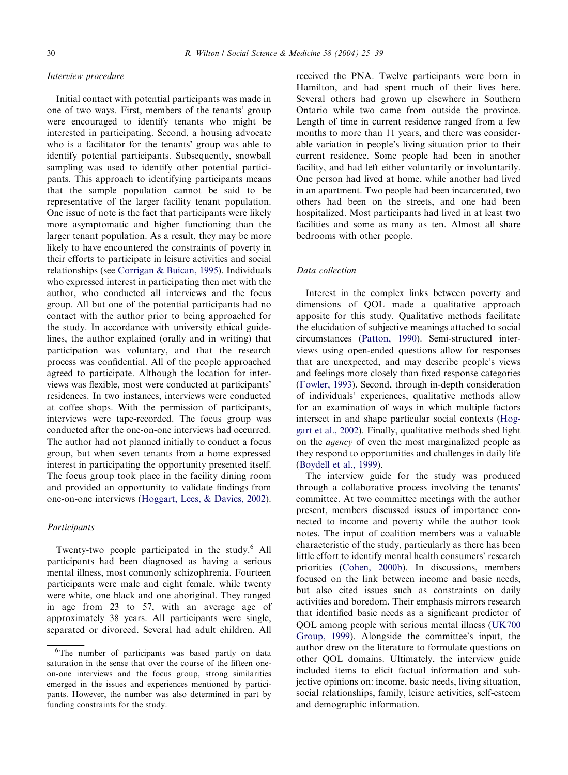# Interview procedure

Initial contact with potential participants was made in one of two ways. First, members of the tenants' group were encouraged to identify tenants who might be interested in participating. Second, a housing advocate who is a facilitator for the tenants' group was able to identify potential participants. Subsequently, snowball sampling was used to identify other potential participants. This approach to identifying participants means that the sample population cannot be said to be representative of the larger facility tenant population. One issue of note is the fact that participants were likely more asymptomatic and higher functioning than the larger tenant population. As a result, they may be more likely to have encountered the constraints of poverty in their efforts to participate in leisure activities and social relationships (see [Corrigan](#page-12-0) [& Buican, 1995](#page-12-0)). Individuals who expressed interest in participating then met with the author, who conducted all interviews and the focus group. All but one of the potential participants had no contact with the author prior to being approached for the study. In accordance with university ethical guidelines, the author explained (orally and in writing) that participation was voluntary, and that the research process was confidential. All of the people approached agreed to participate. Although the location for interviews was flexible, most were conducted at participants' residences. In two instances, interviews were conducted at coffee shops. With the permission of participants, interviews were tape-recorded. The focus group was conducted after the one-on-one interviews had occurred. The author had not planned initially to conduct a focus group, but when seven tenants from a home expressed interest in participating the opportunity presented itself. The focus group took place in the facility dining room and provided an opportunity to validate findings from one-on-one interviews [\(Hoggart, Lees, & Davies, 2002\)](#page-12-0).

# **Participants**

Twenty-two people participated in the study.<sup>6</sup> All participants had been diagnosed as having a serious mental illness, most commonly schizophrenia. Fourteen participants were male and eight female, while twenty were white, one black and one aboriginal. They ranged in age from 23 to 57, with an average age of approximately 38 years. All participants were single, separated or divorced. Several had adult children. All

received the PNA. Twelve participants were born in Hamilton, and had spent much of their lives here. Several others had grown up elsewhere in Southern Ontario while two came from outside the province. Length of time in current residence ranged from a few months to more than 11 years, and there was considerable variation in people's living situation prior to their current residence. Some people had been in another facility, and had left either voluntarily or involuntarily. One person had lived at home, while another had lived in an apartment. Two people had been incarcerated, two others had been on the streets, and one had been hospitalized. Most participants had lived in at least two facilities and some as many as ten. Almost all share bedrooms with other people.

# Data collection

Interest in the complex links between poverty and dimensions of QOL made a qualitative approach apposite for this study. Qualitative methods facilitate the elucidation of subjective meanings attached to social circumstances ([Patton, 1990](#page-13-0)). Semi-structured interviews using open-ended questions allow for responses that are unexpected, and may describe people's views and feelings more closely than fixed response categories ([Fowler, 1993](#page-12-0)). Second, through in-depth consideration of individuals' experiences, qualitative methods allow for an examination of ways in which multiple factors intersect in and shape particular social contexts [\(Hog](#page-12-0)[gart et al., 2002\)](#page-12-0). Finally, qualitative methods shed light on the agency of even the most marginalized people as they respond to opportunities and challenges in daily life ([Boydell et al., 1999\)](#page-12-0).

The interview guide for the study was produced through a collaborative process involving the tenants' committee. At two committee meetings with the author present, members discussed issues of importance connected to income and poverty while the author took notes. The input of coalition members was a valuable characteristic of the study, particularly as there has been little effort to identify mental health consumers' research priorities [\(Cohen, 2000b\)](#page-12-0). In discussions, members focused on the link between income and basic needs, but also cited issues such as constraints on daily activities and boredom. Their emphasis mirrors research that identified basic needs as a significant predictor of  $QOL$  among people with serious mental illness  $(UK700)$  $(UK700)$  $(UK700)$ [Group, 1999\)](#page-14-0). Alongside the committee's input, the author drew on the literature to formulate questions on other QOL domains. Ultimately, the interview guide included items to elicit factual information and subjective opinions on: income, basic needs, living situation, social relationships, family, leisure activities, self-esteem and demographic information.

<sup>&</sup>lt;sup>6</sup>The number of participants was based partly on data saturation in the sense that over the course of the fifteen oneon-one interviews and the focus group, strong similarities emerged in the issues and experiences mentioned by participants. However, the number was also determined in part by funding constraints for the study.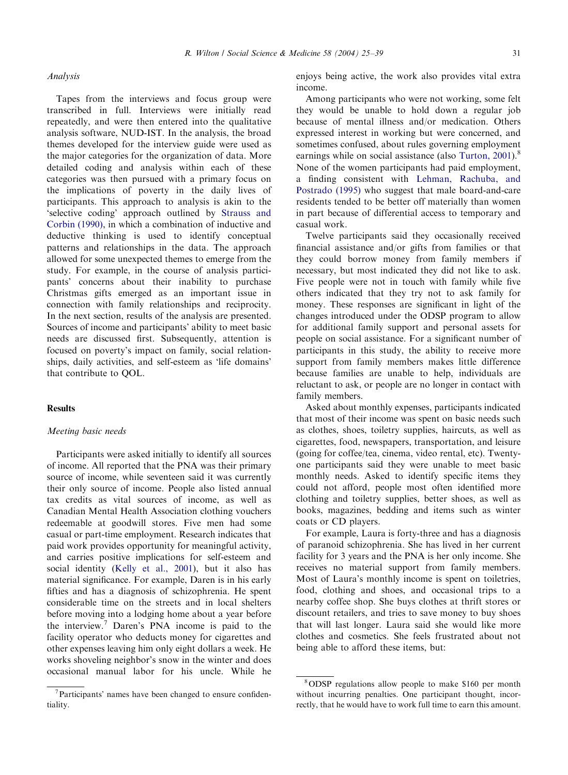# R. Wilton *I* Social Science & Medicine 58 (2004) 25–39 31

# Analysis

Tapes from the interviews and focus group were transcribed in full. Interviews were initially read repeatedly, and were then entered into the qualitative analysis software, NUD-IST. In the analysis, the broad themes developed for the interview guide were used as the major categories for the organization of data. More detailed coding and analysis within each of these categories was then pursued with a primary focus on the implications of poverty in the daily lives of participants. This approach to analysis is akin to the 'selective coding' approach outlined by [Strauss and](#page-13-0) [Corbin \(1990\),](#page-13-0) in which a combination of inductive and deductive thinking is used to identify conceptual patterns and relationships in the data. The approach allowed for some unexpected themes to emerge from the study. For example, in the course of analysis participants' concerns about their inability to purchase Christmas gifts emerged as an important issue in connection with family relationships and reciprocity. In the next section, results of the analysis are presented. Sources of income and participants' ability to meet basic needs are discussed first. Subsequently, attention is focused on poverty's impact on family, social relationships, daily activities, and self-esteem as 'life domains' that contribute to QOL.

# **Results**

#### Meeting basic needs

Participants were asked initially to identify all sources of income. All reported that the PNA was their primary source of income, while seventeen said it was currently their only source of income. People also listed annual tax credits as vital sources of income, as well as Canadian Mental Health Association clothing vouchers redeemable at goodwill stores. Five men had some casual or part-time employment. Researchindicates that paid work provides opportunity for meaningful activity, and carries positive implications for self-esteem and social identity [\(Kelly et al., 2001\)](#page-13-0), but it also has material significance. For example, Daren is in his early fifties and has a diagnosis of schizophrenia. He spent considerable time on the streets and in local shelters before moving into a lodging home about a year before the interview.<sup>7</sup> Daren's PNA income is paid to the facility operator who deducts money for cigarettes and other expenses leaving him only eight dollars a week. He works shoveling neighbor's snow in the winter and does occasional manual labor for his uncle. While he enjoys being active, the work also provides vital extra income.

Among participants who were not working, some felt they would be unable to hold down a regular job because of mental illness and/or medication. Others expressed interest in working but were concerned, and sometimes confused, about rules governing employment earnings while on social assistance (also [Turton, 2001](#page-14-0)).<sup>8</sup> None of the women participants had paid employment, a finding consistent with [Lehman, Rachuba, and](#page-13-0) [Postrado \(1995\)](#page-13-0) who suggest that male board-and-care residents tended to be better off materially than women in part because of differential access to temporary and casual work.

Twelve participants said they occasionally received financial assistance and/or gifts from families or that they could borrow money from family members if necessary, but most indicated they did not like to ask. Five people were not in touch with family while five others indicated that they try not to ask family for money. These responses are significant in light of the changes introduced under the ODSP program to allow for additional family support and personal assets for people on social assistance. For a significant number of participants in this study, the ability to receive more support from family members makes little difference because families are unable to help, individuals are reluctant to ask, or people are no longer in contact with family members.

Asked about monthly expenses, participants indicated that most of their income was spent on basic needs such as clothes, shoes, toiletry supplies, haircuts, as well as cigarettes, food, newspapers, transportation, and leisure (going for coffee/tea, cinema, video rental, etc). Twentyone participants said they were unable to meet basic monthly needs. Asked to identify specific items they could not afford, people most often identified more clothing and toiletry supplies, better shoes, as well as books, magazines, bedding and items such as winter coats or CD players.

For example, Laura is forty-three and has a diagnosis of paranoid schizophrenia. She has lived in her current facility for 3 years and the PNA is her only income. She receives no material support from family members. Most of Laura's monthly income is spent on toiletries, food, clothing and shoes, and occasional trips to a nearby coffee shop. She buys clothes at thrift stores or discount retailers, and tries to save money to buy shoes that will last longer. Laura said she would like more clothes and cosmetics. She feels frustrated about not being able to afford these items, but:

 $7$ Participants' names have been changed to ensure confidentiality.

<sup>8</sup>ODSP regulations allow people to make \$160 per month without incurring penalties. One participant thought, incorrectly, that he would have to work full time to earn this amount.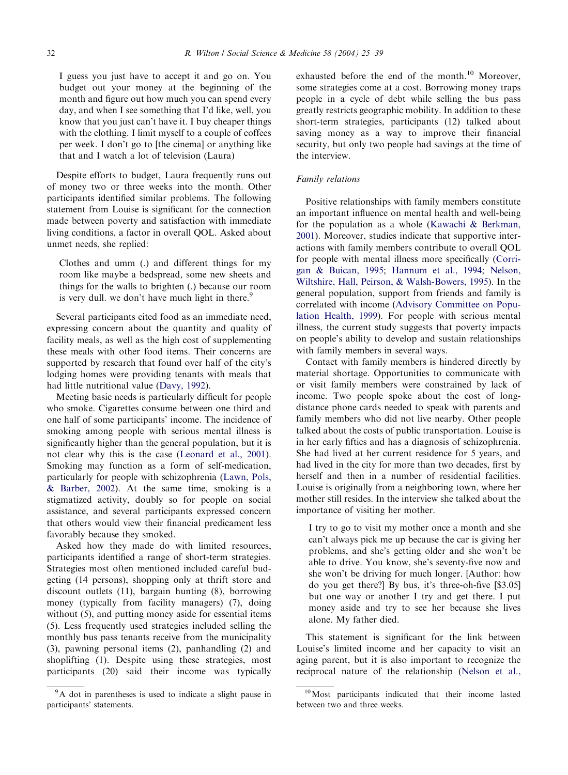I guess you just have to accept it and go on. You budget out your money at the beginning of the month and figure out how much you can spend every day, and when I see something that I'd like, well, you know that you just can't have it. I buy cheaper things with the clothing. I limit myself to a couple of coffees per week. I don't go to [the cinema] or anything like that and I watch a lot of television (Laura)

Despite efforts to budget, Laura frequently runs out of money two or three weeks into the month. Other participants identified similar problems. The following statement from Louise is significant for the connection made between poverty and satisfaction with immediate living conditions, a factor in overall QOL. Asked about unmet needs, she replied:

Clothes and umm (.) and different things for my room like maybe a bedspread, some new sheets and things for the walls to brighten (.) because our room is very dull. we don't have much light in there.<sup>9</sup>

Several participants cited food as an immediate need, expressing concern about the quantity and quality of facility meals, as well as the high cost of supplementing these meals with other food items. Their concerns are supported by research that found over half of the city's lodging homes were providing tenants with meals that had little nutritional value ([Davy, 1992\)](#page-12-0).

Meeting basic needs is particularly difficult for people who smoke. Cigarettes consume between one third and one half of some participants' income. The incidence of smoking among people with serious mental illness is significantly higher than the general population, but it is not clear why this is the case [\(Leonard et al., 2001\)](#page-13-0). Smoking may function as a form of self-medication, particularly for people with schizophrenia ([Lawn, Pols,](#page-13-0) & [Barber, 2002](#page-13-0)). At the same time, smoking is a stigmatized activity, doubly so for people on social assistance, and several participants expressed concern that others would view their financial predicament less favorably because they smoked.

Asked how they made do with limited resources, participants identified a range of short-term strategies. Strategies most often mentioned included careful budgeting (14 persons), shopping only at thrift store and discount outlets (11), bargain hunting (8), borrowing money (typically from facility managers) (7), doing without (5), and putting money aside for essential items (5). Less frequently used strategies included selling the monthly bus pass tenants receive from the municipality (3), pawning personal items (2), panhandling (2) and shoplifting (1). Despite using these strategies, most participants (20) said their income was typically

exhausted before the end of the month.<sup>10</sup> Moreover, some strategies come at a cost. Borrowing money traps people in a cycle of debt while selling the bus pass greatly restricts geographic mobility. In addition to these short-term strategies, participants (12) talked about saving money as a way to improve their financial security, but only two people had savings at the time of the interview.

### Family relations

Positive relationships with family members constitute an important influence on mental health and well-being for the population as a whole [\(Kawachi & Berkman,](#page-12-0) [2001\)](#page-12-0). Moreover, studies indicate that supportive interactions with family members contribute to overall OOL for people with mental illness more specifically [\(Corri](#page-12-0)[gan](#page-12-0) [& Buican, 1995;](#page-12-0) [Hannum et al., 1994;](#page-12-0) [Nelson,](#page-13-0) [Wiltshire, Hall, Peirson, & Walsh-Bowers, 1995\)](#page-13-0). In the general population, support from friends and family is correlated with income [\(Advisory Committee on Popu](#page-12-0)[lation Health, 1999\)](#page-12-0). For people with serious mental illness, the current study suggests that poverty impacts on people's ability to develop and sustain relationships with family members in several ways.

Contact with family members is hindered directly by material shortage. Opportunities to communicate with or visit family members were constrained by lack of income. Two people spoke about the cost of longdistance phone cards needed to speak with parents and family members who did not live nearby. Other people talked about the costs of public transportation. Louise is in her early fifties and has a diagnosis of schizophrenia. She had lived at her current residence for 5 years, and had lived in the city for more than two decades, first by herself and then in a number of residential facilities. Louise is originally from a neighboring town, where her mother still resides. In the interview she talked about the importance of visiting her mother.

I try to go to visit my mother once a month and she can't always pick me up because the car is giving her problems, and she's getting older and she won't be able to drive. You know, she's seventy-five now and she won't be driving for much longer. [Author: how do you get there?] By bus, it's three-oh-five [\$3.05] but one way or another I try and get there. I put money aside and try to see her because she lives alone. My father died.

This statement is significant for the link between Louise's limited income and her capacity to visit an aging parent, but it is also important to recognize the reciprocal nature of the relationship [\(Nelson et al.,](#page-13-0)

<sup>&</sup>lt;sup>9</sup>A dot in parentheses is used to indicate a slight pause in participants' statements.

<sup>10</sup>Most participants indicated that their income lasted between two and three weeks.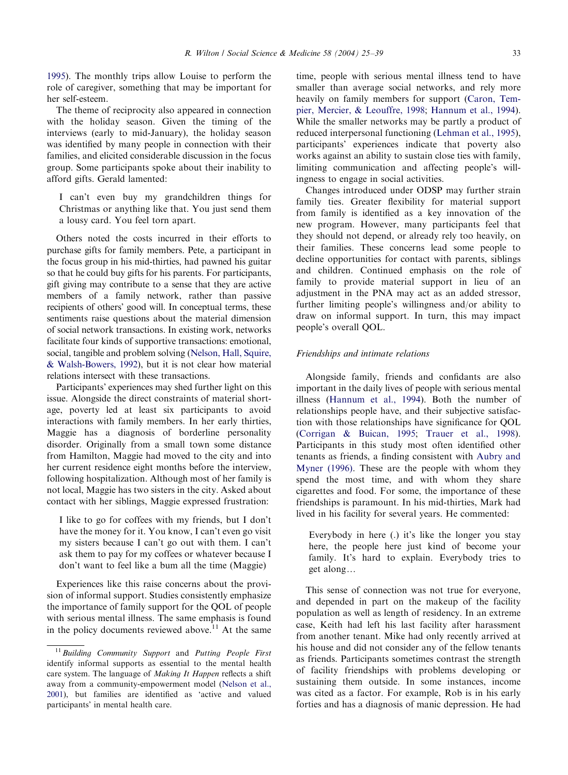[1995\)](#page-13-0). The monthly trips allow Louise to perform the role of caregiver, something that may be important for her self-esteem.

The theme of reciprocity also appeared in connection with the holiday season. Given the timing of the interviews (early to mid-January), the holiday season was identified by many people in connection with their families, and elicited considerable discussion in the focus group. Some participants spoke about their inability to afford gifts. Gerald lamented:

I can't even buy my grandchildren things for Christmas or anything like that. You just send them a lousy card. You feel torn apart.

Others noted the costs incurred in their efforts to purchase gifts for family members. Pete, a participant in the focus group in his mid-thirties, had pawned his guitar so that he could buy gifts for his parents. For participants, gift giving may contribute to a sense that they are active members of a family network, rather than passive recipients of others' good will. In conceptual terms, these sentiments raise questions about the material dimension of social network transactions. In existing work, networks facilitate four kinds of supportive transactions: emotional, social, tangible and problem solving [\(Nelson, Hall, Squire,](#page-13-0) & [Walsh-Bowers, 1992\)](#page-13-0), but it is not clear how material relations intersect with these transactions.

Participants' experiences may shed further light on this issue. Alongside the direct constraints of material shortage, poverty led at least six participants to avoid interactions with family members. In her early thirties, Maggie has a diagnosis of borderline personality disorder. Originally from a small town some distance from Hamilton, Maggie had moved to the city and into her current residence eight months before the interview, following hospitalization. Although most of her family is not local, Maggie has two sisters in the city. Asked about contact with her siblings, Maggie expressed frustration:

I like to go for coffees with my friends, but I don't have the money for it. You know, I can't even go visit my sisters because I can't go out with them. I can't ask them to pay for my coffees or whatever because I don't want to feel like a bum all the time (Maggie)

Experiences like this raise concerns about the provision of informal support. Studies consistently emphasize the importance of family support for the QOL of people with serious mental illness. The same emphasis is found in the policy documents reviewed above.<sup>11</sup> At the same

time, people with serious mental illness tend to have smaller than average social networks, and rely more heavily on family members for support [\(Caron, Tem](#page-12-0)[pier, Mercier,](#page-12-0) [& Leouffre, 1998](#page-12-0); [Hannum et al., 1994\)](#page-12-0). While the smaller networks may be partly a product of reduced interpersonal functioning [\(Lehman et al., 1995\)](#page-13-0), participants' experiences indicate that poverty also works against an ability to sustain close ties with family, limiting communication and affecting people's willingness to engage in social activities.

Changes introduced under ODSP may further strain family ties. Greater flexibility for material support from family is identified as a key innovation of the new program. However, many participants feel that they should not depend, or already rely too heavily, on their families. These concerns lead some people to decline opportunities for contact with parents, siblings and children. Continued emphasis on the role of family to provide material support in lieu of an adjustment in the PNA may act as an added stressor, further limiting people's willingness and/or ability to draw on informal support. In turn, this may impact people's overall QOL.

# Friendships and intimate relations

Alongside family, friends and confidants are also important in the daily lives of people with serious mental illness ([Hannum et al., 1994](#page-12-0)). Both the number of relationships people have, and their subjective satisfaction with those relationships have significance for QOL ([Corrigan](#page-12-0) [& Buican, 1995](#page-12-0); [Trauer et al., 1998\)](#page-13-0). Participants in this study most often identified other tenants as friends, a finding consistent with [Aubry and](#page-12-0) [Myner \(1996\).](#page-12-0) These are the people with whom they spend the most time, and with whom they share cigarettes and food. For some, the importance of these friendships is paramount. In his mid-thirties, Mark had lived in his facility for several years. He commented:

Everybody in here (.) it's like the longer you stay here, the people here just kind of become your family. It's hard to explain. Everybody tries to get along...

This sense of connection was not true for everyone, and depended in part on the makeup of the facility population as well as length of residency. In an extreme case, Keith had left his last facility after harassment from another tenant. Mike had only recently arrived at his house and did not consider any of the fellow tenants as friends. Participants sometimes contrast the strength of facility friendships with problems developing or sustaining them outside. In some instances, income was cited as a factor. For example, Rob is in his early forties and has a diagnosis of manic depression. He had

<sup>&</sup>lt;sup>11</sup> Building Community Support and Putting People First identify informal supports as essential to the mental health care system. The language of Making It Happen reflects a shift away from a community-empowerment model ([Nelson et al.,](#page-13-0) [2001\)](#page-13-0), but families are identified as 'active and valued participants' in mental health care.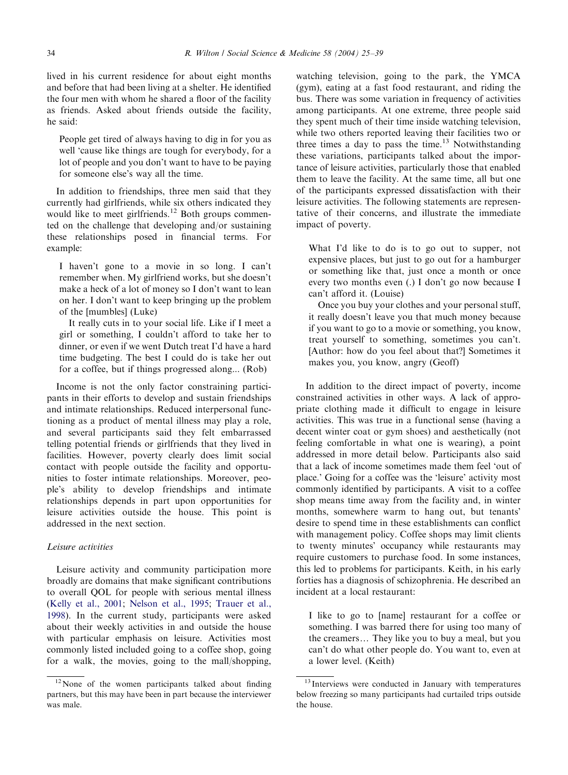lived in his current residence for about eight months and before that had been living at a shelter. He identified the four men with whom he shared a floor of the facility as friends. Asked about friends outside the facility, he said:

People get tired of always having to dig in for you as well 'cause like things are tough for everybody, for a lot of people and you don't want to have to be paying for someone else's way all the time.

In addition to friendships, three men said that they currently had girlfriends, while six others indicated they would like to meet girlfriends.<sup>12</sup> Both groups commented on the challenge that developing and/or sustaining these relationships posed in financial terms. For example:

I haven't gone to a movie in so long. I can't remember when. My girlfriend works, but she doesn't make a heck of a lot of money so I don't want to lean on her. I don't want to keep bringing up the problem of the [mumbles] (Luke)

It really cuts in to your social life. Like if I meet a girl or something, I couldn't afford to take her to dinner, or even if we went Dutch treat I'd have a hard time budgeting. The best I could do is take her out for a coffee, but if things progressed along... (Rob)

Income is not the only factor constraining participants in their efforts to develop and sustain friendships and intimate relationships. Reduced interpersonal functioning as a product of mental illness may play a role, and several participants said they felt embarrassed telling potential friends or girlfriends that they lived in facilities. However, poverty clearly does limit social contact with people outside the facility and opportunities to foster intimate relationships. Moreover, people's ability to develop friendships and intimate relationships depends in part upon opportunities for leisure activities outside the house. This point is addressed in the next section.

# Leisure activities

Leisure activity and community participation more broadly are domains that make significant contributions to overall QOL for people with serious mental illness ([Kelly et al., 2001;](#page-13-0) [Nelson et al., 1995](#page-13-0); [Trauer et al.,](#page-13-0) [1998\)](#page-13-0). In the current study, participants were asked about their weekly activities in and outside the house with particular emphasis on leisure. Activities most commonly listed included going to a coffee shop, going for a walk, the movies, going to the mall/shopping,

watching television, going to the park, the YMCA (gym), eating at a fast food restaurant, and riding the bus. There was some variation in frequency of activities among participants. At one extreme, three people said they spent much of their time inside watching television, while two others reported leaving their facilities two or three times a day to pass the time.<sup>13</sup> Notwithstanding these variations, participants talked about the importance of leisure activities, particularly those that enabled them to leave the facility. At the same time, all but one of the participants expressed dissatisfaction with their leisure activities. The following statements are representative of their concerns, and illustrate the immediate impact of poverty.

What I'd like to do is to go out to supper, not expensive places, but just to go out for a hamburger or something like that, just once a month or once every two months even (.) I don't go now because I can't afford it. (Louise)

Once you buy your clothes and your personal stuff, it really doesn't leave you that much money because if you want to go to a movie or something, you know, treat yourself to something, sometimes you can't. [Author: how do you feel about that?] Sometimes it makes you, you know, angry (Geoff)

In addition to the direct impact of poverty, income constrained activities in other ways. A lack of appropriate clothing made it difficult to engage in leisure activities. This was true in a functional sense (having a decent winter coat or gym shoes) and aesthetically (not feeling comfortable in what one is wearing), a point addressed in more detail below. Participants also said that a lack of income sometimes made them feel 'out of place.' Going for a coffee was the 'leisure' activity most commonly identified by participants. A visit to a coffee shop means time away from the facility and, in winter months, somewhere warm to hang out, but tenants' desire to spend time in these establishments can conflict with management policy. Coffee shops may limit clients to twenty minutes' occupancy while restaurants may require customers to purchase food. In some instances, this led to problems for participants. Keith, in his early forties has a diagnosis of schizophrenia. He described an incident at a local restaurant:

I like to go to [name] restaurant for a coffee or something. I was barred there for using too many of the creamers... They like you to buy a meal, but you can't do what other people do. You want to, even at a lower level. (Keith)

 $12$ None of the women participants talked about finding partners, but this may have been in part because the interviewer was male.

 $13$  Interviews were conducted in January with temperatures below freezing so many participants had curtailed trips outside the house.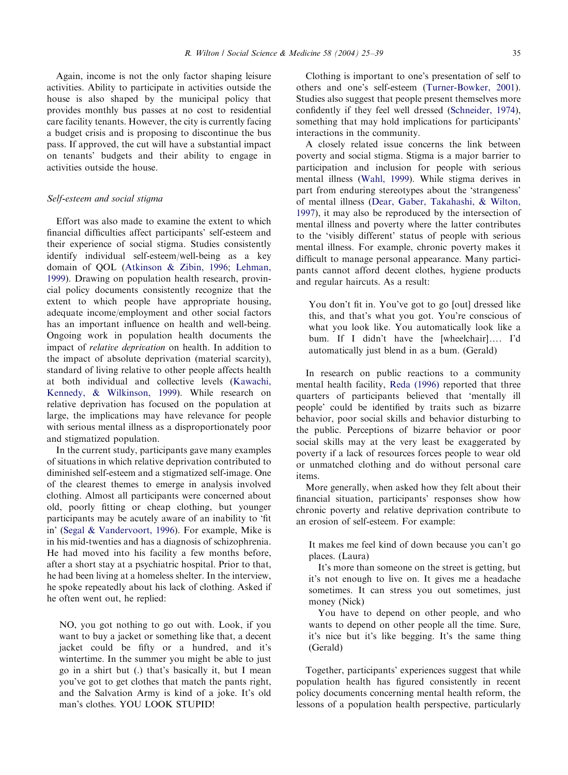Again, income is not the only factor shaping leisure activities. Ability to participate in activities outside the house is also shaped by the municipal policy that provides monthly bus passes at no cost to residential care facility tenants. However, the city is currently facing a budget crisis and is proposing to discontinue the bus pass. If approved, the cut will have a substantial impact on tenants' budgets and their ability to engage in activities outside the house.

#### Self-esteem and social stigma

Effort was also made to examine the extent to which financial difficulties affect participants' self-esteem and their experience of social stigma. Studies consistently identify individual self-esteem/well-being as a key domain of QOL ([Atkinson](#page-12-0) [& Zibin, 1996](#page-12-0); [Lehman,](#page-13-0) [1999\)](#page-13-0). Drawing on population health research, provincial policy documents consistently recognize that the extent to which people have appropriate housing, adequate income/employment and other social factors has an important influence on health and well-being. Ongoing work in population health documents the impact of relative deprivation on health. In addition to the impact of absolute deprivation (material scarcity), standard of living relative to other people affects health at both individual and collective levels [\(Kawachi,](#page-12-0) [Kennedy, & Wilkinson, 1999\)](#page-12-0). While research on relative deprivation has focused on the population at large, the implications may have relevance for people with serious mental illness as a disproportionately poor and stigmatized population.

In the current study, participants gave many examples of situations in which relative deprivation contributed to diminished self-esteem and a stigmatized self-image. One of the clearest themes to emerge in analysis involved clothing. Almost all participants were concerned about old, poorly fitting or cheap clothing, but younger participants may be acutely aware of an inability to 'fit in' ([Segal](#page-13-0) [& Vandervoort, 1996](#page-13-0)). For example, Mike is in his mid-twenties and has a diagnosis of schizophrenia. He had moved into his facility a few months before, after a short stay at a psychiatric hospital. Prior to that, he had been living at a homeless shelter. In the interview, he spoke repeatedly about his lack of clothing. Asked if he often went out, he replied:

NO, you got nothing to go out with. Look, if you want to buy a jacket or something like that, a decent jacket could be fifty or a hundred, and it's wintertime. In the summer you might be able to just go in a shirt but (.) that's basically it, but I mean you've got to get clothes that match the pants right, and the Salvation Army is kind of a joke. It's old man's clothes. YOU LOOK STUPID!

Clothing is important to one's presentation of self to others and one's self-esteem [\(Turner-Bowker, 2001\)](#page-14-0). Studies also suggest that people present themselves more confidently if they feel well dressed ([Schneider, 1974\)](#page-13-0), something that may hold implications for participants' interactions in the community.

A closely related issue concerns the link between poverty and social stigma. Stigma is a major barrier to participation and inclusion for people with serious mental illness [\(Wahl, 1999](#page-14-0)). While stigma derives in part from enduring stereotypes about the 'strangeness' of mental illness [\(Dear, Gaber, Takahashi,](#page-12-0) [& Wilton,](#page-12-0) [1997\)](#page-12-0), it may also be reproduced by the intersection of mental illness and poverty where the latter contributes to the 'visibly different' status of people with serious mental illness. For example, chronic poverty makes it difficult to manage personal appearance. Many participants cannot afford decent clothes, hygiene products and regular haircuts. As a result:

You don't fit in. You've got to go [out] dressed like this, and that's what you got. You're conscious of what you look like. You automatically look like a bum. If I didn't have the [wheelchair].... I'd automatically just blend in as a bum. (Gerald)

In research on public reactions to a community mental health facility, [Reda \(1996\)](#page-13-0) reported that three quarters of participants believed that 'mentally ill people' could be identified by traits such as bizarre behavior, poor social skills and behavior disturbing to the public. Perceptions of bizarre behavior or poor social skills may at the very least be exaggerated by poverty if a lack of resources forces people to wear old or unmatched clothing and do without personal care items.

More generally, when asked how they felt about their financial situation, participants' responses show how chronic poverty and relative deprivation contribute to an erosion of self-esteem. For example:

It makes me feel kind of down because you can't go places. (Laura)

It's more than someone on the street is getting, but it's not enough to live on. It gives me a headache sometimes. It can stress you out sometimes, just money (Nick)

You have to depend on other people, and who wants to depend on other people all the time. Sure, it's nice but it's like begging. It's the same thing (Gerald)

Together, participants' experiences suggest that while population health has figured consistently in recent policy documents concerning mental health reform, the lessons of a population health perspective, particularly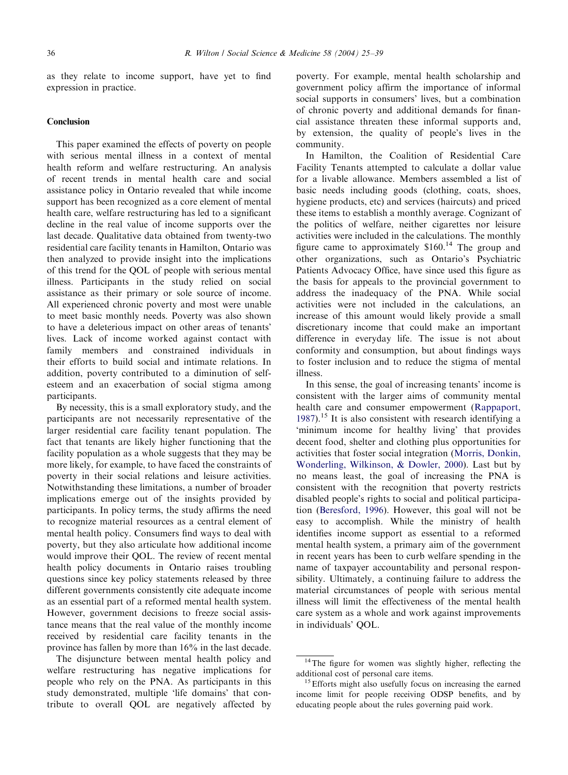as they relate to income support, have yet to find expression in practice.

# Conclusion

This paper examined the effects of poverty on people with serious mental illness in a context of mental health reform and welfare restructuring. An analysis of recent trends in mental health care and social assistance policy in Ontario revealed that while income support has been recognized as a core element of mental health care, welfare restructuring has led to a significant decline in the real value of income supports over the last decade. Qualitative data obtained from twenty-two residential care facility tenants in Hamilton, Ontario was then analyzed to provide insight into the implications of this trend for the QOL of people with serious mental illness. Participants in the study relied on social assistance as their primary or sole source of income. All experienced chronic poverty and most were unable to meet basic monthly needs. Poverty was also shown to have a deleterious impact on other areas of tenants' lives. Lack of income worked against contact with family members and constrained individuals in their efforts to build social and intimate relations. In addition, poverty contributed to a diminution of selfesteem and an exacerbation of social stigma among participants.

By necessity, this is a small exploratory study, and the participants are not necessarily representative of the larger residential care facility tenant population. The fact that tenants are likely higher functioning that the facility population as a whole suggests that they may be more likely, for example, to have faced the constraints of poverty in their social relations and leisure activities. Notwithstanding these limitations, a number of broader implications emerge out of the insights provided by participants. In policy terms, the study affirms the need to recognize material resources as a central element of mental health policy. Consumers find ways to deal with poverty, but they also articulate how additional income would improve their QOL. The review of recent mental health policy documents in Ontario raises troubling questions since key policy statements released by three different governments consistently cite adequate income as an essential part of a reformed mental health system. However, government decisions to freeze social assistance means that the real value of the monthly income received by residential care facility tenants in the province has fallen by more than 16% in the last decade.

The disjuncture between mental health policy and welfare restructuring has negative implications for people who rely on the PNA. As participants in this study demonstrated, multiple 'life domains' that contribute to overall QOL are negatively affected by poverty. For example, mental health scholarship and government policy affirm the importance of informal social supports in consumers' lives, but a combination of chronic poverty and additional demands for financial assistance threaten these informal supports and, by extension, the quality of people's lives in the community.

In Hamilton, the Coalition of Residential Care Facility Tenants attempted to calculate a dollar value for a livable allowance. Members assembled a list of basic needs including goods (clothing, coats, shoes, hygiene products, etc) and services (haircuts) and priced these items to establish a monthly average. Cognizant of the politics of welfare, neither cigarettes nor leisure activities were included in the calculations. The monthly figure came to approximately  $$160<sup>14</sup>$  The group and other organizations, such as Ontario's Psychiatric Patients Advocacy Office, have since used this figure as the basis for appeals to the provincial government to address the inadequacy of the PNA. While social activities were not included in the calculations, an increase of this amount would likely provide a small discretionary income that could make an important difference in everyday life. The issue is not about conformity and consumption, but about findings ways to foster inclusion and to reduce the stigma of mental illness.

In this sense, the goal of increasing tenants' income is consistent with the larger aims of community mental health care and consumer empowerment ([Rappaport,](#page-13-0) [1987\)](#page-13-0).<sup>15</sup> It is also consistent with research identifying a 'minimum income for healthy living' that provides decent food, shelter and clothing plus opportunities for activities that foster social integration [\(Morris, Donkin,](#page-13-0) [Wonderling, Wilkinson, & Dowler, 2000\)](#page-13-0). Last but by no means least, the goal of increasing the PNA is consistent with the recognition that poverty restricts disabled people's rights to social and political participation [\(Beresford, 1996\)](#page-12-0). However, this goal will not be easy to accomplish. While the ministry of health identifies income support as essential to a reformed mental health system, a primary aim of the government in recent years has been to curb welfare spending in the name of taxpayer accountability and personal responsibility. Ultimately, a continuing failure to address the material circumstances of people with serious mental illness will limit the effectiveness of the mental health care system as a whole and work against improvements in individuals' QOL.

 $14$ The figure for women was slightly higher, reflecting the additional cost of personal care items.

 $15$  Efforts might also usefully focus on increasing the earned income limit for people receiving ODSP benefits, and by educating people about the rules governing paid work.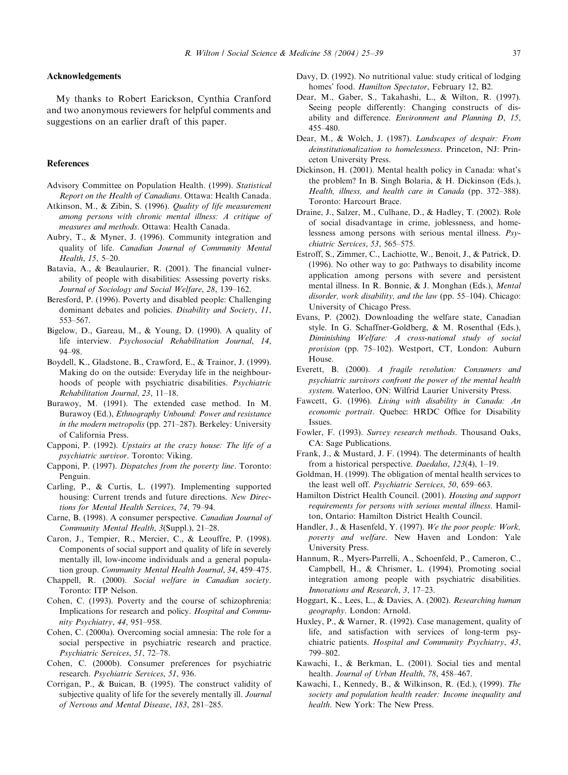# <span id="page-12-0"></span>Acknowledgements

My thanks to Robert Earickson, Cynthia Cranford and two anonymous reviewers for helpful comments and suggestions on an earlier draft of this paper.

# References

- Advisory Committee on Population Health. (1999). Statistical Report on the Health of Canadians. Ottawa: Health Canada.
- Atkinson, M., & Zibin, S. (1996). Quality of life measurement among persons with chronic mental illness: A critique of measures and methods. Ottawa: Health Canada.
- Aubry, T., & Myner, J. (1996). Community integration and quality of life. Canadian Journal of Community Mental Health, 15, 5–20.
- Batavia, A., & Beaulaurier, R. (2001). The financial vulnerability of people with disabilities: Assessing poverty risks. Journal of Sociology and Social Welfare, 28, 139–162.
- Beresford, P. (1996). Poverty and disabled people: Challenging dominant debates and policies. Disability and Society, 11, 553–567.
- Bigelow, D., Gareau, M., & Young, D. (1990). A quality of life interview. Psychosocial Rehabilitation Journal, 14, 94–98.
- Boydell, K., Gladstone, B., Crawford, E., & Trainor, J. (1999). Making do on the outside: Everyday life in the neighbourhoods of people with psychiatric disabilities. Psychiatric Rehabilitation Journal, 23, 11–18.
- Burawoy, M. (1991). The extended case method. In M. Burawoy (Ed.), Ethnography Unbound: Power and resistance in the modern metropolis (pp. 271–287). Berkeley: University of California Press.
- Capponi, P. (1992). Upstairs at the crazy house: The life of a psychiatric survivor. Toronto: Viking.
- Capponi, P. (1997). Dispatches from the poverty line. Toronto: Penguin.
- Carling, P., & Curtis, L. (1997). Implementing supported housing: Current trends and future directions. New Directions for Mental Health Services, 74, 79–94.
- Carne, B. (1998). A consumer perspective. Canadian Journal of Community Mental Health, 3(Suppl.), 21–28.
- Caron, J., Tempier, R., Mercier, C., & Leouffre, P. (1998). Components of social support and quality of life in severely mentally ill, low-income individuals and a general population group. Community Mental Health Journal, 34, 459–475.
- Chappell, R. (2000). Social welfare in Canadian society. Toronto: ITP Nelson.
- Cohen, C. (1993). Poverty and the course of schizophrenia: Implications for research and policy. Hospital and Community Psychiatry, 44, 951–958.
- Cohen, C. (2000a). Overcoming social amnesia: The role for a social perspective in psychiatric research and practice. Psychiatric Services, 51, 72–78.
- Cohen, C. (2000b). Consumer preferences for psychiatric research. Psychiatric Services, 51, 936.
- Corrigan, P., & Buican, B. (1995). The construct validity of subjective quality of life for the severely mentally ill. Journal of Nervous and Mental Disease, 183, 281–285.
- Davy, D. (1992). No nutritional value: study critical of lodging homes' food. Hamilton Spectator, February 12, B2.
- Dear, M., Gaber, S., Takahashi, L., & Wilton, R. (1997). Seeing people differently: Changing constructs of disability and difference. Environment and Planning D, 15, 455–480.
- Dear, M., & Wolch, J. (1987). Landscapes of despair: From deinstitutionalization to homelessness. Princeton, NJ: Princeton University Press.
- Dickinson, H. (2001). Mental health policy in Canada: what's the problem? In B. Singh Bolaria, & H. Dickinson (Eds.), Health, illness, and health care in Canada (pp. 372–388). Toronto: Harcourt Brace.
- Draine, J., Salzer, M., Culhane, D., & Hadley, T. (2002). Role of social disadvantage in crime, joblessness, and homelessness among persons with serious mental illness.  $Psv$ chiatric Services, 53, 565–575.
- Estroff, S., Zimmer, C., Lachiotte, W., Benoit, J., & Patrick, D. (1996). No other way to go: Pathways to disability income application among persons with severe and persistent mental illness. In R. Bonnie, & J. Monghan (Eds.), Mental disorder, work disability, and the law (pp. 55-104). Chicago: University of Chicago Press.
- Evans, P. (2002). Downloading the welfare state, Canadian style. In G. Schaffner-Goldberg, & M. Rosenthal (Eds.), Diminishing Welfare: A cross-national study of social provision (pp. 75–102). Westport, CT, London: Auburn House.
- Everett, B. (2000). A fragile revolution: Consumers and psychiatric survivors confront the power of the mental health system. Waterloo, ON: Wilfrid Laurier University Press.
- Fawcett, G. (1996). Living with disability in Canada: An economic portrait. Quebec: HRDC Office for Disability Issues.
- Fowler, F. (1993). Survey research methods. Thousand Oaks, CA: Sage Publications.
- Frank, J., & Mustard, J. F. (1994). The determinants of health from a historical perspective. Daedalus, 123(4), 1–19.
- Goldman, H. (1999). The obligation of mental health services to the least well off. Psychiatric Services, 50, 659–663.
- Hamilton District Health Council. (2001). Housing and support requirements for persons with serious mental illness. Hamilton, Ontario: Hamilton District Health Council.
- Handler, J., & Hasenfeld, Y. (1997). We the poor people: Work, poverty and welfare. New Haven and London: Yale University Press.
- Hannum, R., Myers-Parrelli, A., Schoenfeld, P., Cameron, C., Campbell, H., & Chrismer, L. (1994). Promoting social integration among people with psychiatric disabilities. Innovations and Research, 3, 17–23.
- Hoggart, K., Lees, L., & Davies, A. (2002). Researching human geography. London: Arnold.
- Huxley, P., & Warner, R. (1992). Case management, quality of life, and satisfaction with services of long-term psychiatric patients. Hospital and Community Psychiatry, 43, 799–802.
- Kawachi, I., & Berkman, L. (2001). Social ties and mental health. Journal of Urban Health, 78, 458–467.
- Kawachi, I., Kennedy, B., & Wilkinson, R. (Ed.), (1999). The society and population health reader: Income inequality and health. New York: The New Press.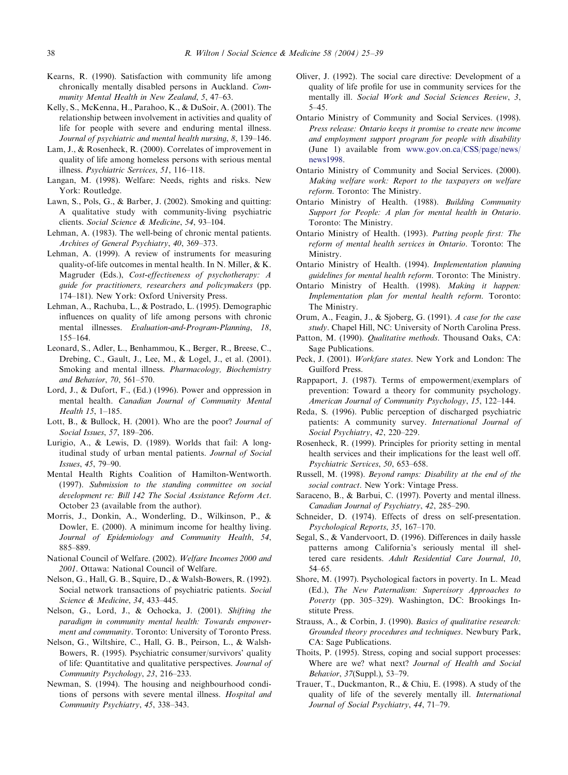- <span id="page-13-0"></span>Kearns, R. (1990). Satisfaction with community life among chronically mentally disabled persons in Auckland. Community Mental Health in New Zealand, 5, 47–63.
- Kelly, S., McKenna, H., Parahoo, K., & DuSoir, A. (2001). The relationship between involvement in activities and quality of life for people with severe and enduring mental illness. Journal of psychiatric and mental health nursing, 8, 139–146.
- Lam, J., & Rosenheck, R. (2000). Correlates of improvement in quality of life among homeless persons with serious mental illness. Psychiatric Services, 51, 116–118.
- Langan, M. (1998). Welfare: Needs, rights and risks. New York: Routledge.
- Lawn, S., Pols, G., & Barber, J. (2002). Smoking and quitting: A qualitative study with community-living psychiatric clients. Social Science & Medicine, 54, 93–104.
- Lehman, A. (1983). The well-being of chronic mental patients. Archives of General Psychiatry, 40, 369–373.
- Lehman, A. (1999). A review of instruments for measuring quality-of-life outcomes in mental health. In N. Miller, & K. Magruder (Eds.), Cost-effectiveness of psychotherapy: A guide for practitioners, researchers and policymakers (pp. 174–181). New York: Oxford University Press.
- Lehman, A., Rachuba, L., & Postrado, L. (1995). Demographic influences on quality of life among persons with chronic mental illnesses. Evaluation-and-Program-Planning, 18, 155–164.
- Leonard, S., Adler, L., Benhammou, K., Berger, R., Breese, C., Drebing, C., Gault, J., Lee, M., & Logel, J., et al. (2001). Smoking and mental illness. Pharmacology, Biochemistry and Behavior, 70, 561–570.
- Lord, J., & Dufort, F., (Ed.) (1996). Power and oppression in mental health. Canadian Journal of Community Mental Health 15, 1–185.
- Lott, B., & Bullock, H. (2001). Who are the poor? Journal of Social Issues, 57, 189–206.
- Lurigio, A., & Lewis, D. (1989). Worlds that fail: A longitudinal study of urban mental patients. Journal of Social Issues, 45, 79–90.
- Mental Health Rights Coalition of Hamilton-Wentworth. (1997). Submission to the standing committee on social development re: Bill 142 The Social Assistance Reform Act. October 23 (available from the author).
- Morris, J., Donkin, A., Wonderling, D., Wilkinson, P., & Dowler, E. (2000). A minimum income for healthy living. Journal of Epidemiology and Community Health, 54, 885–889.
- National Council of Welfare. (2002). Welfare Incomes 2000 and 2001. Ottawa: National Council of Welfare.
- Nelson, G., Hall, G. B., Squire, D., & Walsh-Bowers, R. (1992). Social network transactions of psychiatric patients. Social Science & Medicine, 34, 433–445.
- Nelson, G., Lord, J., & Ochocka, J. (2001). Shifting the paradigm in community mental health: Towards empowerment and community. Toronto: University of Toronto Press.
- Nelson, G., Wiltshire, C., Hall, G. B., Peirson, L., & Walsh-Bowers, R. (1995). Psychiatric consumer/survivors' quality of life: Quantitative and qualitative perspectives. Journal of Community Psychology, 23, 216–233.
- Newman, S. (1994). The housing and neighbourhood conditions of persons with severe mental illness. Hospital and Community Psychiatry, 45, 338–343.
- Oliver, J. (1992). The social care directive: Development of a quality of life profile for use in community services for the mentally ill. Social Work and Social Sciences Review, 3, 5–45.
- Ontario Ministry of Community and Social Services. (1998). Press release: Ontario keeps it promise to create new income and employment support program for people with disability (June 1) available from [www.gov.on.ca/CSS/page/news/](http://www.gov.on.ca/CSS/page/news/news1998) [news1998](http://www.gov.on.ca/CSS/page/news/news1998).
- Ontario Ministry of Community and Social Services. (2000). Making welfare work: Report to the taxpayers on welfare reform. Toronto: The Ministry.
- Ontario Ministry of Health. (1988). Building Community Support for People: A plan for mental health in Ontario. Toronto: The Ministry.
- Ontario Ministry of Health. (1993). Putting people first: The reform of mental health services in Ontario. Toronto: The Ministry.
- Ontario Ministry of Health. (1994). Implementation planning guidelines for mental health reform. Toronto: The Ministry.
- Ontario Ministry of Health. (1998). Making it happen: Implementation plan for mental health reform. Toronto: The Ministry.
- Orum, A., Feagin, J., & Sjoberg, G. (1991). A case for the case study. Chapel Hill, NC: University of North Carolina Press.
- Patton, M. (1990). Qualitative methods. Thousand Oaks, CA: Sage Publications.
- Peck, J. (2001). Workfare states. New York and London: The Guilford Press.
- Rappaport, J. (1987). Terms of empowerment/exemplars of prevention: Toward a theory for community psychology. American Journal of Community Psychology, 15, 122–144.
- Reda, S. (1996). Public perception of discharged psychiatric patients: A community survey. International Journal of Social Psychiatry, 42, 220–229.
- Rosenheck, R. (1999). Principles for priority setting in mental health services and their implications for the least well off. Psychiatric Services, 50, 653–658.
- Russell, M. (1998). Beyond ramps: Disability at the end of the social contract. New York: Vintage Press.
- Saraceno, B., & Barbui, C. (1997). Poverty and mental illness. Canadian Journal of Psychiatry, 42, 285–290.
- Schneider, D. (1974). Effects of dress on self-presentation. Psychological Reports, 35, 167–170.
- Segal, S., & Vandervoort, D. (1996). Differences in daily hassle patterns among California's seriously mental ill sheltered care residents. Adult Residential Care Journal, 10, 54–65.
- Shore, M. (1997). Psychological factors in poverty. In L. Mead (Ed.), The New Paternalism: Supervisory Approaches to Poverty (pp. 305–329). Washington, DC: Brookings Institute Press.
- Strauss, A., & Corbin, J. (1990). Basics of qualitative research: Grounded theory procedures and techniques. Newbury Park, CA: Sage Publications.
- Thoits, P. (1995). Stress, coping and social support processes: Where are we? what next? Journal of Health and Social Behavior, 37(Suppl.), 53–79.
- Trauer, T., Duckmanton, R., & Chiu, E. (1998). A study of the quality of life of the severely mentally ill. International Journal of Social Psychiatry, 44, 71–79.